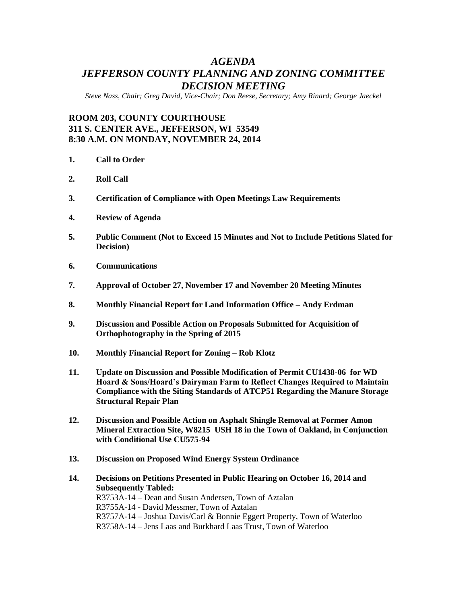# *AGENDA JEFFERSON COUNTY PLANNING AND ZONING COMMITTEE DECISION MEETING*

*Steve Nass, Chair; Greg David, Vice-Chair; Don Reese, Secretary; Amy Rinard; George Jaeckel*

# **ROOM 203, COUNTY COURTHOUSE 311 S. CENTER AVE., JEFFERSON, WI 53549 8:30 A.M. ON MONDAY, NOVEMBER 24, 2014**

- **1. Call to Order**
- **2. Roll Call**
- **3. Certification of Compliance with Open Meetings Law Requirements**
- **4. Review of Agenda**
- **5. Public Comment (Not to Exceed 15 Minutes and Not to Include Petitions Slated for Decision)**
- **6. Communications**
- **7. Approval of October 27, November 17 and November 20 Meeting Minutes**
- **8. Monthly Financial Report for Land Information Office – Andy Erdman**
- **9. Discussion and Possible Action on Proposals Submitted for Acquisition of Orthophotography in the Spring of 2015**
- **10. Monthly Financial Report for Zoning – Rob Klotz**
- **11. Update on Discussion and Possible Modification of Permit CU1438-06 for WD Hoard & Sons/Hoard's Dairyman Farm to Reflect Changes Required to Maintain Compliance with the Siting Standards of ATCP51 Regarding the Manure Storage Structural Repair Plan**
- **12. Discussion and Possible Action on Asphalt Shingle Removal at Former Amon Mineral Extraction Site, W8215 USH 18 in the Town of Oakland, in Conjunction with Conditional Use CU575-94**
- **13. Discussion on Proposed Wind Energy System Ordinance**
- **14. Decisions on Petitions Presented in Public Hearing on October 16, 2014 and Subsequently Tabled:** R3753A-14 – Dean and Susan Andersen, Town of Aztalan R3755A-14 - David Messmer, Town of Aztalan R3757A-14 – Joshua Davis/Carl & Bonnie Eggert Property, Town of Waterloo R3758A-14 – Jens Laas and Burkhard Laas Trust, Town of Waterloo